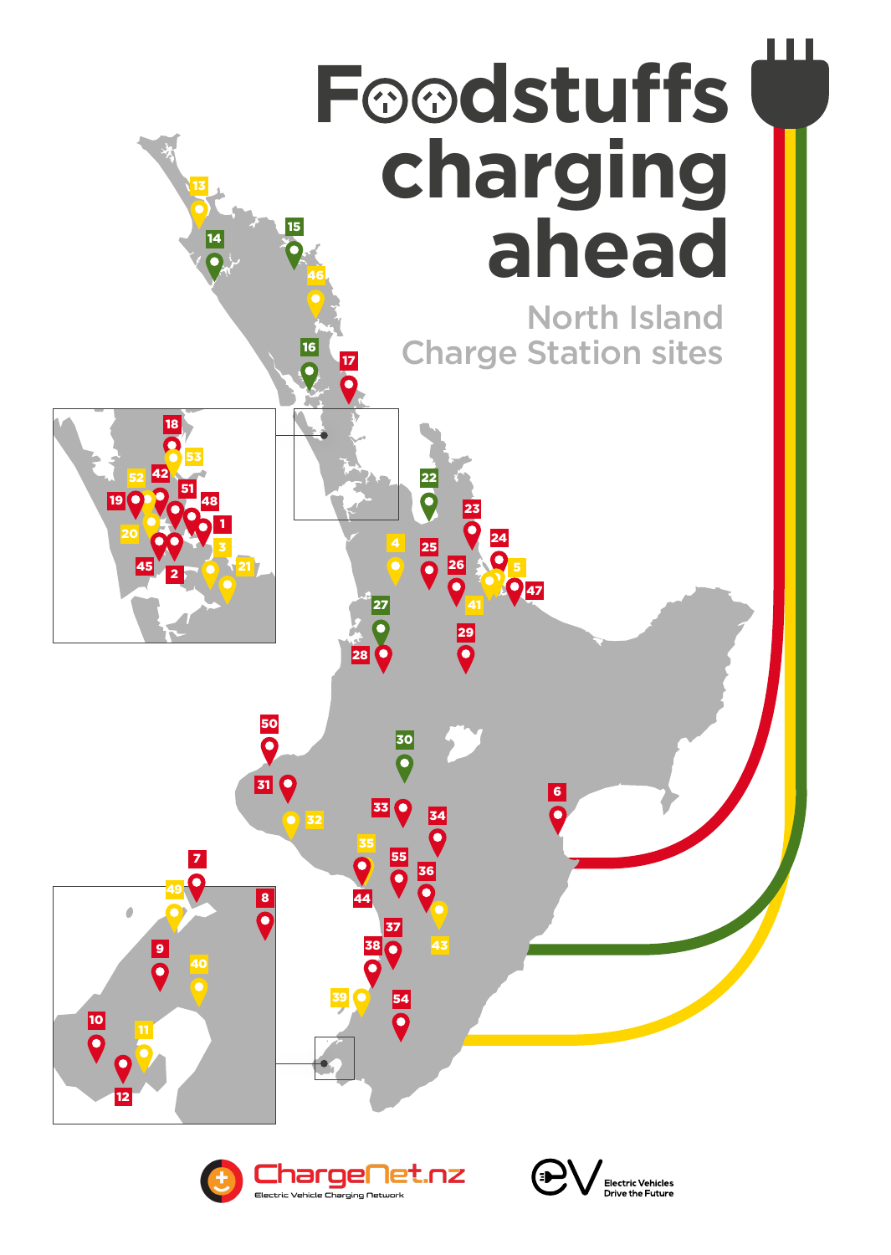Foodstuffs **charging ahead** North Island 





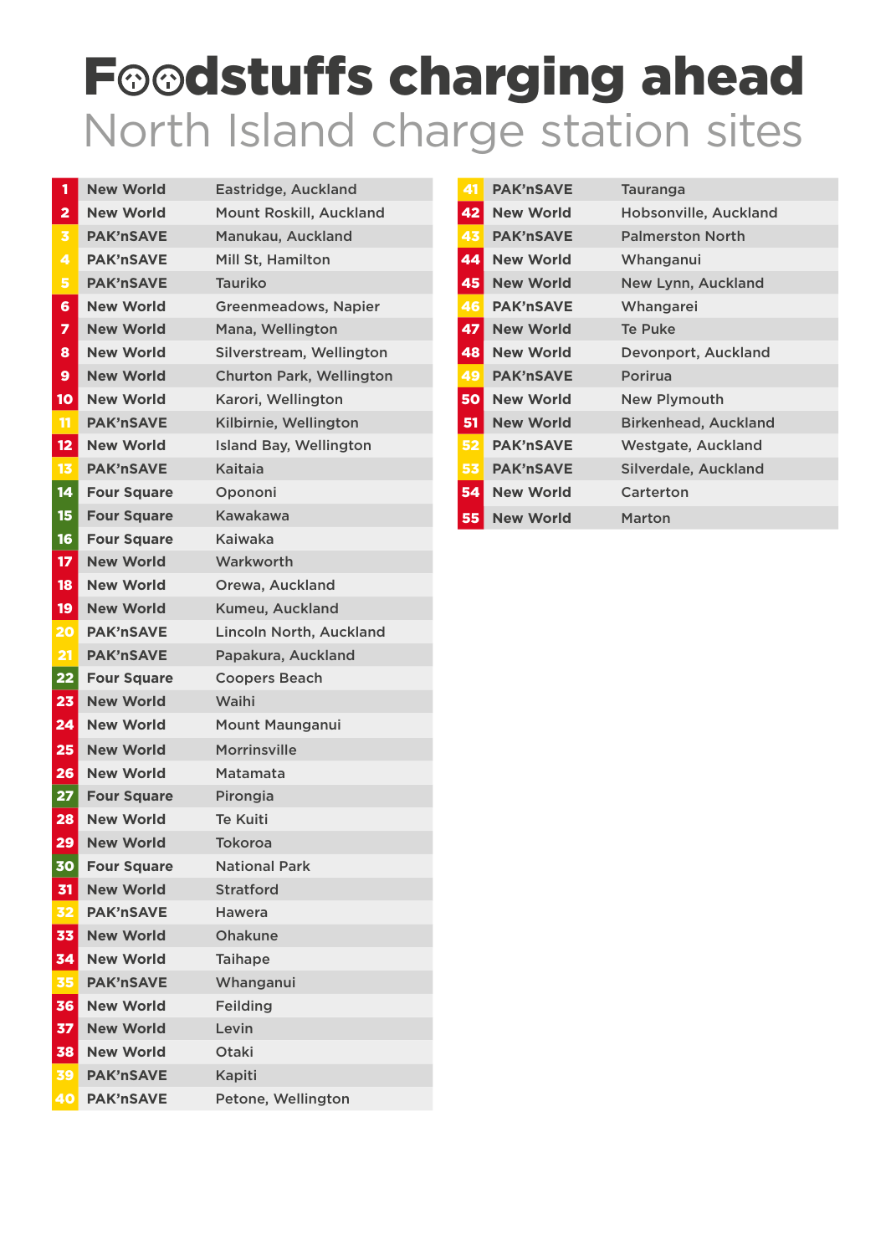## North Island charge station sites Foodstuffs charging ahead

|                         | <b>New World</b>   | Eastridge, Auckland           |
|-------------------------|--------------------|-------------------------------|
| $\overline{\mathbf{2}}$ | <b>New World</b>   | Mount Roskill, Auckland       |
| 3                       | <b>PAK'nSAVE</b>   | Manukau, Auckland             |
| 4                       | <b>PAK'nSAVE</b>   | Mill St, Hamilton             |
| 5                       | <b>PAK'nSAVE</b>   | <b>Tauriko</b>                |
| 6                       | <b>New World</b>   | Greenmeadows, Napier          |
| 7                       | <b>New World</b>   | Mana, Wellington              |
| 8                       | <b>New World</b>   | Silverstream, Wellington      |
| 9                       | <b>New World</b>   | Churton Park, Wellington      |
| 10                      | <b>New World</b>   | Karori, Wellington            |
| $\mathbf{11}$           | <b>PAK'nSAVE</b>   | Kilbirnie, Wellington         |
| 12                      | <b>New World</b>   | <b>Island Bay, Wellington</b> |
| 13                      | <b>PAK'nSAVE</b>   | <b>Kaitaia</b>                |
| $\boxed{14}$            | <b>Four Square</b> | Opononi                       |
| 15                      | <b>Four Square</b> | Kawakawa                      |
| 16                      | <b>Four Square</b> | <b>Kaiwaka</b>                |
| $\vert$ 17              | <b>New World</b>   | Warkworth                     |
| <b>18</b>               | <b>New World</b>   | Orewa, Auckland               |
| <b>19</b>               | <b>New World</b>   | Kumeu, Auckland               |
| 20                      | <b>PAK'nSAVE</b>   | Lincoln North, Auckland       |
| 21                      | <b>PAK'nSAVE</b>   | Papakura, Auckland            |
| 22                      | <b>Four Square</b> | <b>Coopers Beach</b>          |
| 23                      | <b>New World</b>   | Waihi                         |
| 24                      | <b>New World</b>   | <b>Mount Maunganui</b>        |
| 25                      | <b>New World</b>   | <b>Morrinsville</b>           |
| 26                      | <b>New World</b>   | Matamata                      |
| 27                      | <b>Four Square</b> | Pirongia                      |
| 28                      | <b>New World</b>   | <b>Te Kuiti</b>               |
| 29                      | <b>New World</b>   | <b>Tokoroa</b>                |
| 30                      | <b>Four Square</b> | <b>National Park</b>          |
| 31                      | <b>New World</b>   | <b>Stratford</b>              |
| 32                      | <b>PAK'nSAVE</b>   | <b>Hawera</b>                 |
| 33                      | <b>New World</b>   | <b>Ohakune</b>                |
| 34                      | <b>New World</b>   | <b>Taihape</b>                |
| 35                      | <b>PAK'nSAVE</b>   | Whanganui                     |

| 36         | <b>New World</b> | <b>Feilding</b>    |
|------------|------------------|--------------------|
| 37         | <b>New World</b> | Levin              |
| 38         | <b>New World</b> | <b>Otaki</b>       |
| <b>391</b> | <b>PAK'nSAVE</b> | Kapiti             |
| 401        | <b>PAK'nSAVE</b> | Petone, Wellington |

| 41        | <b>PAK'nSAVE</b> | <b>Tauranga</b>             |
|-----------|------------------|-----------------------------|
| 42        | <b>New World</b> | Hobsonville, Auckland       |
| 43        | <b>PAK'nSAVE</b> | <b>Palmerston North</b>     |
| 44        | <b>New World</b> | Whanganui                   |
| 45        | <b>New World</b> | New Lynn, Auckland          |
| 46        | <b>PAK'nSAVE</b> | Whangarei                   |
| 47        | <b>New World</b> | <b>Te Puke</b>              |
| 48        | <b>New World</b> | Devonport, Auckland         |
| 49        | <b>PAK'nSAVE</b> | Porirua                     |
| 50        | <b>New World</b> | <b>New Plymouth</b>         |
| 51        | <b>New World</b> | <b>Birkenhead, Auckland</b> |
| <b>52</b> | <b>PAK'nSAVE</b> | <b>Westgate, Auckland</b>   |
| 53        | <b>PAK'nSAVE</b> | Silverdale, Auckland        |
| <b>54</b> | <b>New World</b> | <b>Carterton</b>            |
| 55        | <b>New World</b> | <b>Marton</b>               |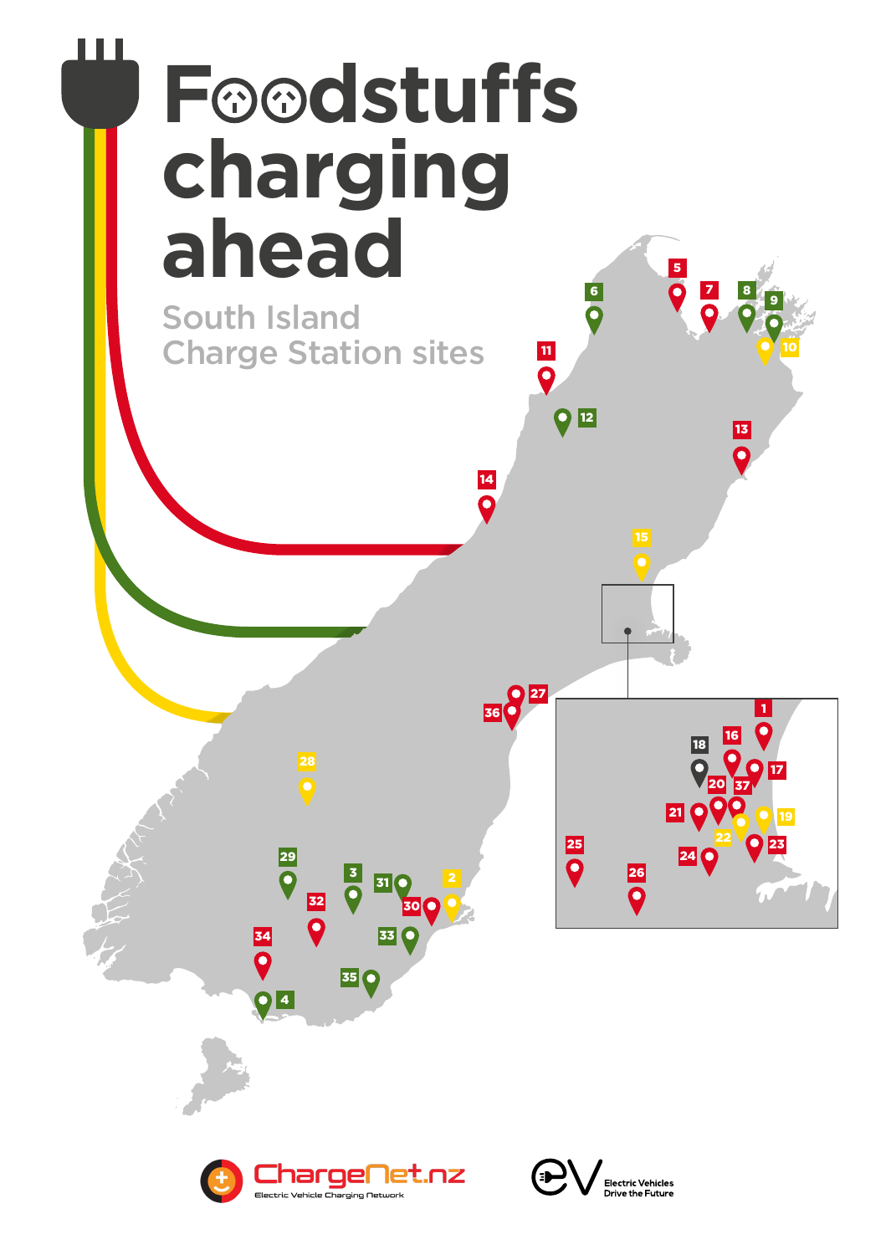## Foodstuffs **charging ahead**